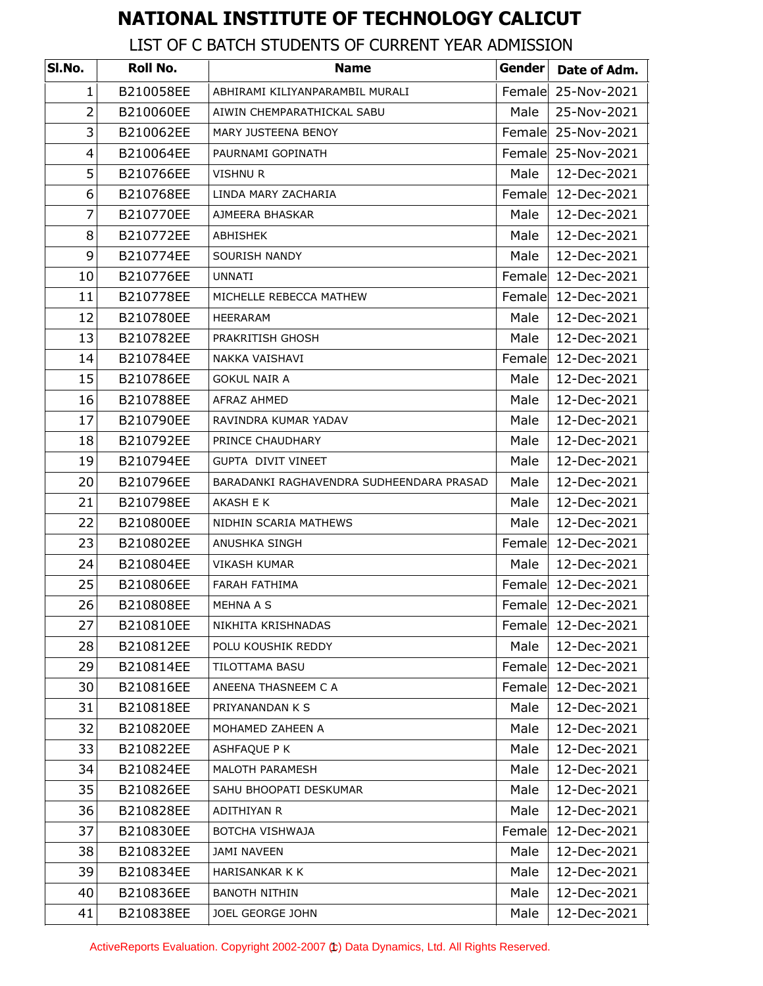## **NATIONAL INSTITUTE OF TECHNOLOGY CALICUT**

## LIST OF C BATCH STUDENTS OF CURRENT YEAR ADMISSION

| SI.No.         | Roll No.  | <b>Name</b>                              | Gender | Date of Adm.       |
|----------------|-----------|------------------------------------------|--------|--------------------|
| $\mathbf{1}$   | B210058EE | ABHIRAMI KILIYANPARAMBIL MURALI          | Female | 25-Nov-2021        |
| $\overline{2}$ | B210060EE | AIWIN CHEMPARATHICKAL SABU               | Male   | 25-Nov-2021        |
| 3              | B210062EE | MARY JUSTEENA BENOY                      | Female | 25-Nov-2021        |
| 4              | B210064EE | PAURNAMI GOPINATH                        |        | Female 25-Nov-2021 |
| 5              | B210766EE | VISHNU R                                 | Male   | 12-Dec-2021        |
| 6              | B210768EE | LINDA MARY ZACHARIA                      | Female | 12-Dec-2021        |
| 7              | B210770EE | AJMEERA BHASKAR                          | Male   | 12-Dec-2021        |
| 8              | B210772EE | ABHISHEK                                 | Male   | 12-Dec-2021        |
| 9              | B210774EE | SOURISH NANDY                            | Male   | 12-Dec-2021        |
| 10             | B210776EE | UNNATI                                   | Female | 12-Dec-2021        |
| 11             | B210778EE | MICHELLE REBECCA MATHEW                  | Female | 12-Dec-2021        |
| 12             | B210780EE | HEERARAM                                 | Male   | 12-Dec-2021        |
| 13             | B210782EE | PRAKRITISH GHOSH                         | Male   | 12-Dec-2021        |
| 14             | B210784EE | NAKKA VAISHAVI                           | Female | 12-Dec-2021        |
| 15             | B210786EE | GOKUL NAIR A                             | Male   | 12-Dec-2021        |
| 16             | B210788EE | AFRAZ AHMED                              | Male   | 12-Dec-2021        |
| 17             | B210790EE | RAVINDRA KUMAR YADAV                     | Male   | 12-Dec-2021        |
| 18             | B210792EE | PRINCE CHAUDHARY                         | Male   | 12-Dec-2021        |
| 19             | B210794EE | <b>GUPTA DIVIT VINEET</b>                | Male   | 12-Dec-2021        |
| 20             | B210796EE | BARADANKI RAGHAVENDRA SUDHEENDARA PRASAD | Male   | 12-Dec-2021        |
| 21             | B210798EE | AKASH E K                                | Male   | 12-Dec-2021        |
| 22             | B210800EE | NIDHIN SCARIA MATHEWS                    | Male   | 12-Dec-2021        |
| 23             | B210802EE | ANUSHKA SINGH                            | Female | 12-Dec-2021        |
| 24             | B210804EE | <b>VIKASH KUMAR</b>                      | Male   | 12-Dec-2021        |
| 25             | B210806EE | FARAH FATHIMA                            |        | Female 12-Dec-2021 |
| 26             | B210808EE | <b>MEHNA A S</b>                         |        | Female 12-Dec-2021 |
| 27             | B210810EE | NIKHITA KRISHNADAS                       |        | Female 12-Dec-2021 |
| 28             | B210812EE | POLU KOUSHIK REDDY                       | Male   | 12-Dec-2021        |
| 29             | B210814EE | TILOTTAMA BASU                           | Female | 12-Dec-2021        |
| 30             | B210816EE | ANEENA THASNEEM C A                      | Female | 12-Dec-2021        |
| 31             | B210818EE | PRIYANANDAN K S                          | Male   | 12-Dec-2021        |
| 32             | B210820EE | MOHAMED ZAHEEN A                         | Male   | 12-Dec-2021        |
| 33             | B210822EE | ASHFAQUE P K                             | Male   | 12-Dec-2021        |
| 34             | B210824EE | MALOTH PARAMESH                          | Male   | 12-Dec-2021        |
| 35             | B210826EE | SAHU BHOOPATI DESKUMAR                   | Male   | 12-Dec-2021        |
| 36             | B210828EE | ADITHIYAN R                              | Male   | 12-Dec-2021        |
| 37             | B210830EE | BOTCHA VISHWAJA                          | Female | 12-Dec-2021        |
| 38             | B210832EE | <b>JAMI NAVEEN</b>                       | Male   | 12-Dec-2021        |
| 39             | B210834EE | HARISANKAR K K                           | Male   | 12-Dec-2021        |
| 40             | B210836EE | <b>BANOTH NITHIN</b>                     | Male   | 12-Dec-2021        |
| 41             | B210838EE | JOEL GEORGE JOHN                         | Male   | 12-Dec-2021        |

ActiveReports Evaluation. Copyright 2002-2007 (t) Data Dynamics, Ltd. All Rights Reserved.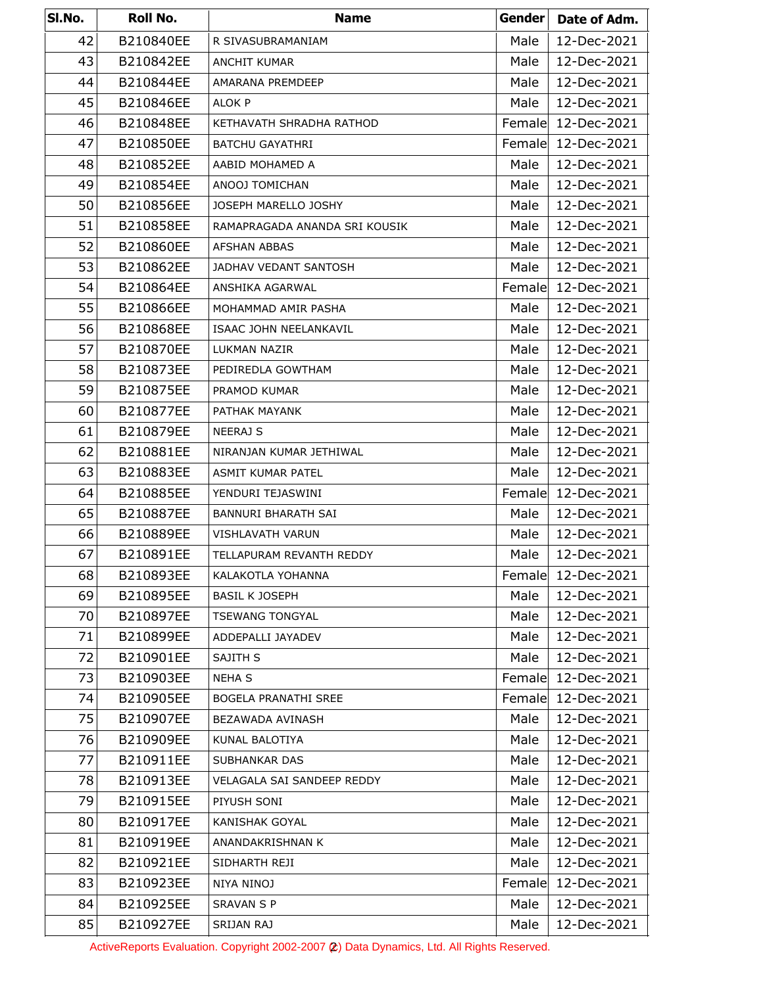| SI.No. | Roll No.  | <b>Name</b>                   | Gender | Date of Adm.       |
|--------|-----------|-------------------------------|--------|--------------------|
| 42     | B210840EE | R SIVASUBRAMANIAM             | Male   | 12-Dec-2021        |
| 43     | B210842EE | <b>ANCHIT KUMAR</b>           | Male   | 12-Dec-2021        |
| 44     | B210844EE | AMARANA PREMDEEP              | Male   | 12-Dec-2021        |
| 45     | B210846EE | ALOK P                        | Male   | 12-Dec-2021        |
| 46     | B210848EE | KETHAVATH SHRADHA RATHOD      | Female | 12-Dec-2021        |
| 47     | B210850EE | BATCHU GAYATHRI               |        | Female 12-Dec-2021 |
| 48     | B210852EE | AABID MOHAMED A               | Male   | 12-Dec-2021        |
| 49     | B210854EE | ANOOJ TOMICHAN                | Male   | 12-Dec-2021        |
| 50     | B210856EE | JOSEPH MARELLO JOSHY          | Male   | 12-Dec-2021        |
| 51     | B210858EE | RAMAPRAGADA ANANDA SRI KOUSIK | Male   | 12-Dec-2021        |
| 52     | B210860EE | <b>AFSHAN ABBAS</b>           | Male   | 12-Dec-2021        |
| 53     | B210862EE | JADHAV VEDANT SANTOSH         | Male   | 12-Dec-2021        |
| 54     | B210864EE | ANSHIKA AGARWAL               | Female | 12-Dec-2021        |
| 55     | B210866EE | MOHAMMAD AMIR PASHA           | Male   | 12-Dec-2021        |
| 56     | B210868EE | ISAAC JOHN NEELANKAVIL        | Male   | 12-Dec-2021        |
| 57     | B210870EE | LUKMAN NAZIR                  | Male   | 12-Dec-2021        |
| 58     | B210873EE | PEDIREDLA GOWTHAM             | Male   | 12-Dec-2021        |
| 59     | B210875EE | PRAMOD KUMAR                  | Male   | 12-Dec-2021        |
| 60     | B210877EE | PATHAK MAYANK                 | Male   | 12-Dec-2021        |
| 61     | B210879EE | <b>NEERAJ S</b>               | Male   | 12-Dec-2021        |
| 62     | B210881EE | NIRANJAN KUMAR JETHIWAL       | Male   | 12-Dec-2021        |
| 63     | B210883EE | ASMIT KUMAR PATEL             | Male   | 12-Dec-2021        |
| 64     | B210885EE | YENDURI TEJASWINI             | Female | 12-Dec-2021        |
| 65     | B210887EE | <b>BANNURI BHARATH SAI</b>    | Male   | 12-Dec-2021        |
| 66     | B210889EE | VISHLAVATH VARUN              | Male   | 12-Dec-2021        |
| 67     | B210891EE | TELLAPURAM REVANTH REDDY      | Male   | 12-Dec-2021        |
| 68     | B210893EE | KALAKOTLA YOHANNA             | Female | 12-Dec-2021        |
| 69     | B210895EE | <b>BASIL K JOSEPH</b>         | Male   | 12-Dec-2021        |
| 70     | B210897EE | <b>TSEWANG TONGYAL</b>        | Male   | 12-Dec-2021        |
| 71     | B210899EE | ADDEPALLI JAYADEV             | Male   | 12-Dec-2021        |
| 72     | B210901EE | SAJITH S                      | Male   | 12-Dec-2021        |
| 73     | B210903EE | <b>NEHA S</b>                 | Female | 12-Dec-2021        |
| 74     | B210905EE | <b>BOGELA PRANATHI SREE</b>   | Female | 12-Dec-2021        |
| 75     | B210907EE | BEZAWADA AVINASH              | Male   | 12-Dec-2021        |
| 76     | B210909EE | KUNAL BALOTIYA                | Male   | 12-Dec-2021        |
| 77     | B210911EE | SUBHANKAR DAS                 | Male   | 12-Dec-2021        |
| 78     | B210913EE | VELAGALA SAI SANDEEP REDDY    | Male   | 12-Dec-2021        |
| 79     | B210915EE | PIYUSH SONI                   | Male   | 12-Dec-2021        |
| 80     | B210917EE | KANISHAK GOYAL                | Male   | 12-Dec-2021        |
| 81     | B210919EE | ANANDAKRISHNAN K              | Male   | 12-Dec-2021        |
| 82     | B210921EE | SIDHARTH REJI                 | Male   | 12-Dec-2021        |
| 83     | B210923EE | NIYA NINOJ                    | Female | 12-Dec-2021        |
| 84     | B210925EE | <b>SRAVAN S P</b>             | Male   | 12-Dec-2021        |
| 85     | B210927EE | SRIJAN RAJ                    | Male   | 12-Dec-2021        |

ActiveReports Evaluation. Copyright 2002-2007 (2) Data Dynamics, Ltd. All Rights Reserved.